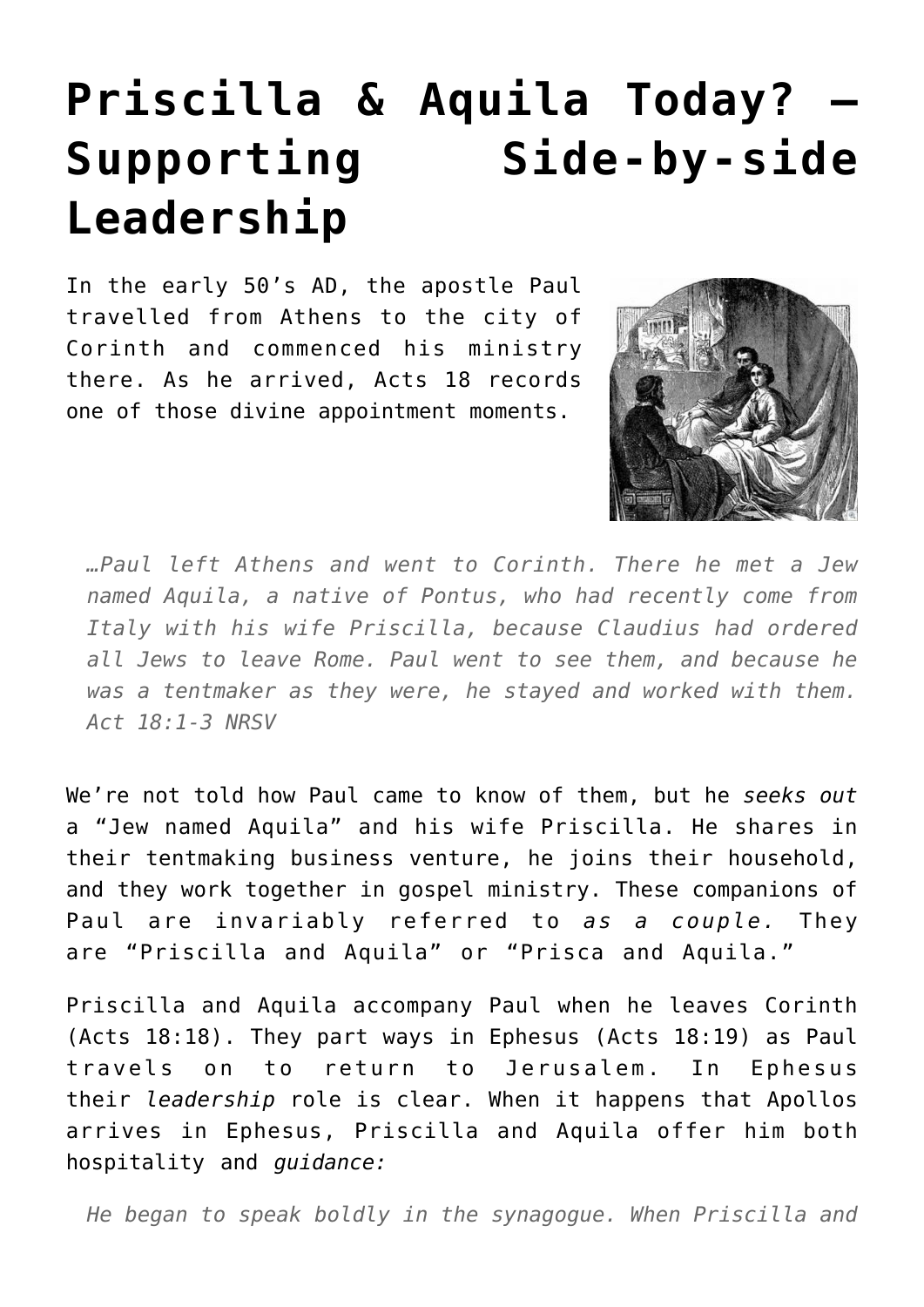## **[Priscilla & Aquila Today? –](https://briggs.id.au/jour/2017/04/priscilla-aquila-today-supporting-side-by-side-leadership/) [Supporting Side-by-side](https://briggs.id.au/jour/2017/04/priscilla-aquila-today-supporting-side-by-side-leadership/) [Leadership](https://briggs.id.au/jour/2017/04/priscilla-aquila-today-supporting-side-by-side-leadership/)**

In the early 50's AD, the apostle Paul travelled from Athens to the city of Corinth and commenced his ministry there. As he arrived, Acts 18 records one of those divine appointment moments.



*…Paul left Athens and went to Corinth. There he met a Jew named Aquila, a native of Pontus, who had recently come from Italy with his wife Priscilla, because Claudius had ordered all Jews to leave Rome. Paul went to see them, and because he was a tentmaker as they were, he stayed and worked with them. Act 18:1-3 NRSV*

We're not told how Paul came to know of them, but he *seeks out* a "Jew named Aquila" and his wife Priscilla. He shares in their tentmaking business venture, he joins their household, and they work together in gospel ministry. These companions of Paul are invariably referred to *as a couple.* They are "Priscilla and Aquila" or "Prisca and Aquila."

Priscilla and Aquila accompany Paul when he leaves Corinth (Acts 18:18). They part ways in Ephesus (Acts 18:19) as Paul travels on to return to Jerusalem. In Ephesus their *leadership* role is clear. When it happens that Apollos arrives in Ephesus, Priscilla and Aquila offer him both hospitality and *guidance:*

*He began to speak boldly in the synagogue. When Priscilla and*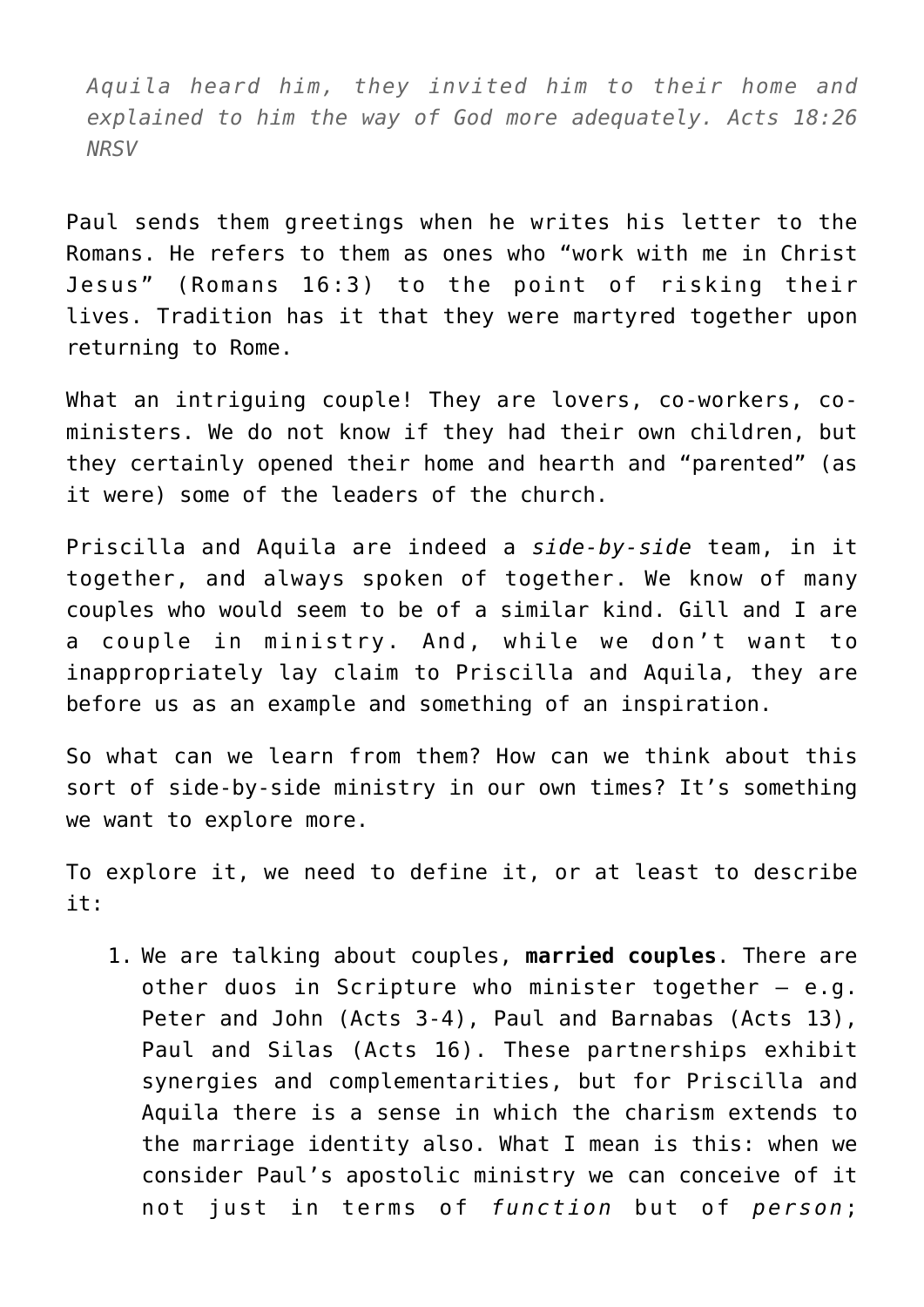*Aquila heard him, they invited him to their home and explained to him the way of God more adequately. Acts 18:26 NRSV*

Paul sends them greetings when he writes his letter to the Romans. He refers to them as ones who "work with me in Christ Jesus" (Romans 16:3) to the point of risking their lives. Tradition has it that they were martyred together upon returning to Rome.

What an intriguing couple! They are lovers, co-workers, coministers. We do not know if they had their own children, but they certainly opened their home and hearth and "parented" (as it were) some of the leaders of the church.

Priscilla and Aquila are indeed a *side-by-side* team, in it together, and always spoken of together. We know of many couples who would seem to be of a similar kind. Gill and I are a couple in ministry. And, while we don't want to inappropriately lay claim to Priscilla and Aquila, they are before us as an example and something of an inspiration.

So what can we learn from them? How can we think about this sort of side-by-side ministry in our own times? It's something we want to explore more.

To explore it, we need to define it, or at least to describe it:

1. We are talking about couples, **married couples**. There are other duos in Scripture who minister together – e.g. Peter and John (Acts 3-4), Paul and Barnabas (Acts 13), Paul and Silas (Acts 16). These partnerships exhibit synergies and complementarities, but for Priscilla and Aquila there is a sense in which the charism extends to the marriage identity also. What I mean is this: when we consider Paul's apostolic ministry we can conceive of it not just in terms of *function* but of *person*;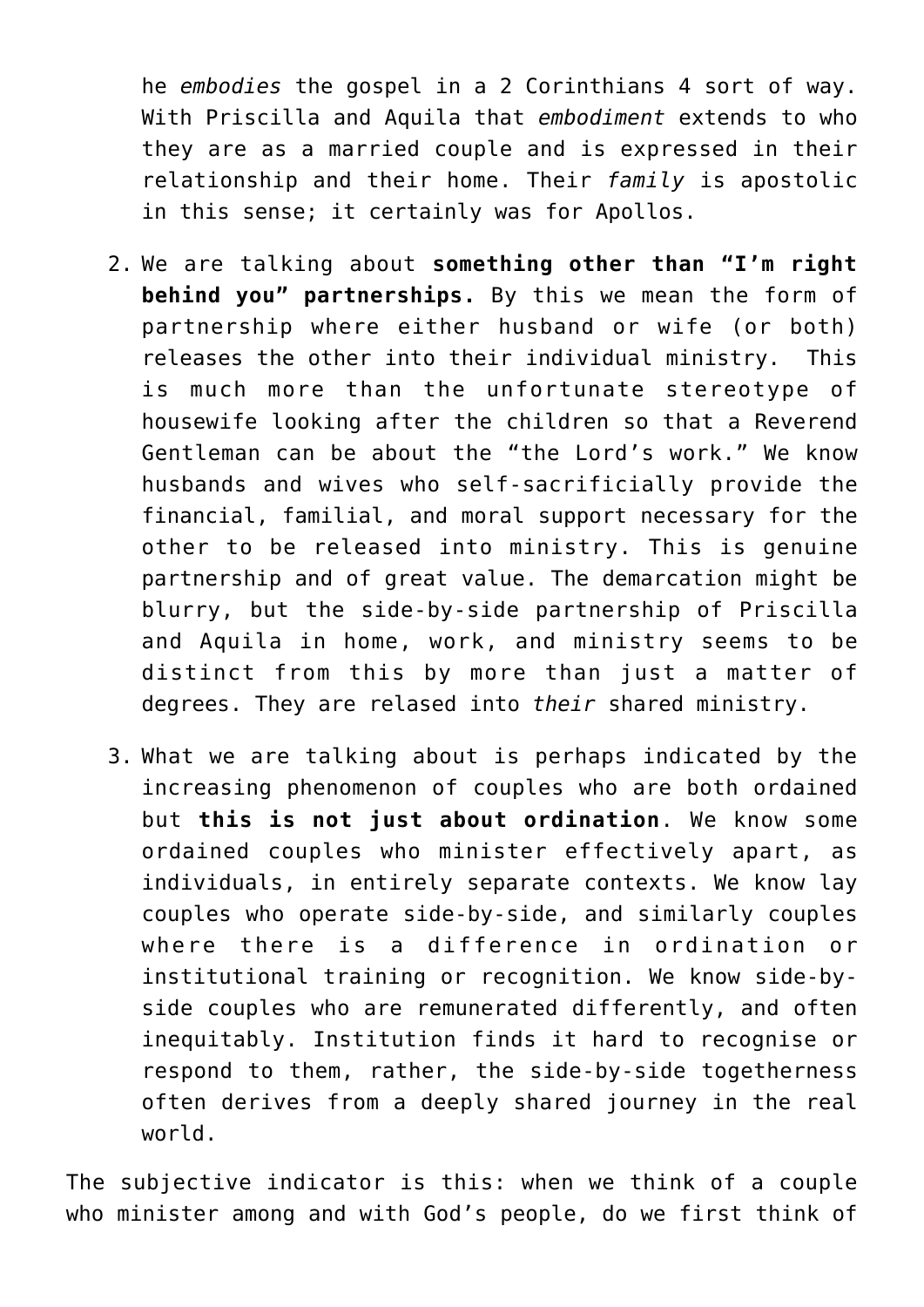he *embodies* the gospel in a 2 Corinthians 4 sort of way. With Priscilla and Aquila that *embodiment* extends to who they are as a married couple and is expressed in their relationship and their home. Their *family* is apostolic in this sense; it certainly was for Apollos.

- 2. We are talking about **something other than "I'm right behind you" partnerships.** By this we mean the form of partnership where either husband or wife (or both) releases the other into their individual ministry. This is much more than the unfortunate stereotype of housewife looking after the children so that a Reverend Gentleman can be about the "the Lord's work." We know husbands and wives who self-sacrificially provide the financial, familial, and moral support necessary for the other to be released into ministry. This is genuine partnership and of great value. The demarcation might be blurry, but the side-by-side partnership of Priscilla and Aquila in home, work, and ministry seems to be distinct from this by more than just a matter of degrees. They are relased into *their* shared ministry.
- 3. What we are talking about is perhaps indicated by the increasing phenomenon of couples who are both ordained but **this is not just about ordination**. We know some ordained couples who minister effectively apart, as individuals, in entirely separate contexts. We know lay couples who operate side-by-side, and similarly couples where there is a difference in ordination or institutional training or recognition. We know side-byside couples who are remunerated differently, and often inequitably. Institution finds it hard to recognise or respond to them, rather, the side-by-side togetherness often derives from a deeply shared journey in the real world.

The subjective indicator is this: when we think of a couple who minister among and with God's people, do we first think of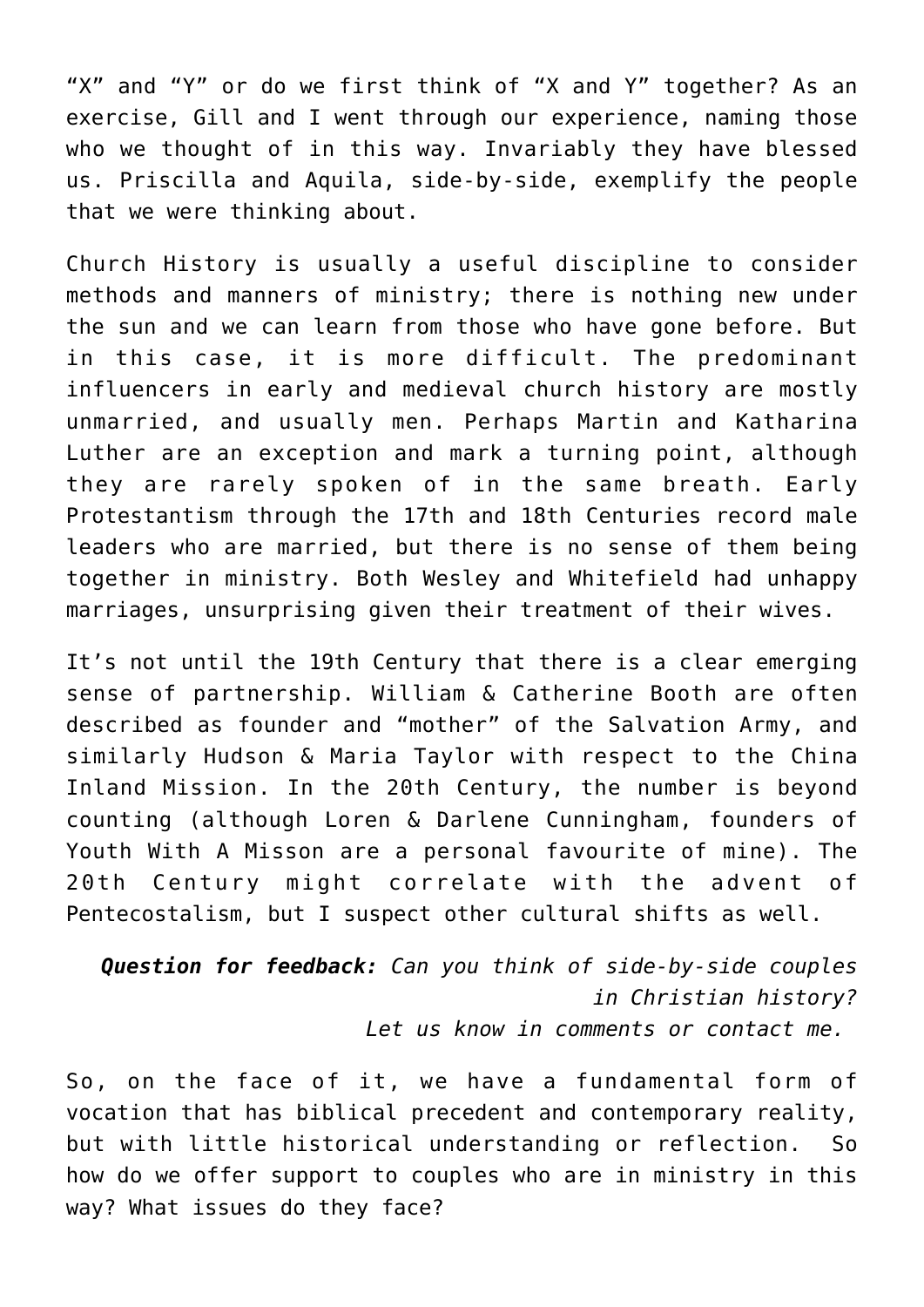"X" and "Y" or do we first think of "X and Y" together? As an exercise, Gill and I went through our experience, naming those who we thought of in this way. Invariably they have blessed us. Priscilla and Aquila, side-by-side, exemplify the people that we were thinking about.

Church History is usually a useful discipline to consider methods and manners of ministry; there is nothing new under the sun and we can learn from those who have gone before. But in this case, it is more difficult. The predominant influencers in early and medieval church history are mostly unmarried, and usually men. Perhaps [Martin and Katharina](https://en.wikipedia.org/wiki/Katharina_von_Bora) [Luther](https://en.wikipedia.org/wiki/Katharina_von_Bora) are an exception and mark a turning point, although they are rarely spoken of in the same breath. Early Protestantism through the 17th and 18th Centuries record male leaders who are married, but there is no sense of them being together in ministry. Both Wesley and Whitefield had unhappy marriages, unsurprising given their treatment of their wives.

It's not until the 19th Century that there is a clear emerging sense of partnership. [William & Catherine Booth](https://salvos.org.au/about-us/our-story/our-history/founders-william-and-catherine-booth/) are often described as founder and "mother" of the Salvation Army, and similarly [Hudson & Maria Taylor](http://www.missionariesbiography.com/July/23Maria_Jane_Dyer.html) with respect to the China Inland Mission. In the 20th Century, the number is beyond counting (although [Loren & Darlene Cunningham](https://en.wikipedia.org/wiki/Loren_Cunningham), founders of Youth With A Misson are a personal favourite of mine). The 20th Century might correlate with the advent of Pentecostalism, but I suspect other cultural shifts as well.

*Question for feedback: Can you think of side-by-side couples in Christian history? Let us know in comments or [contact](http://briggs.id.au/jour/connect/) me.* 

So, on the face of it, we have a fundamental form of vocation that has biblical precedent and contemporary reality, but with little historical understanding or reflection. So how do we offer support to couples who are in ministry in this way? What issues do they face?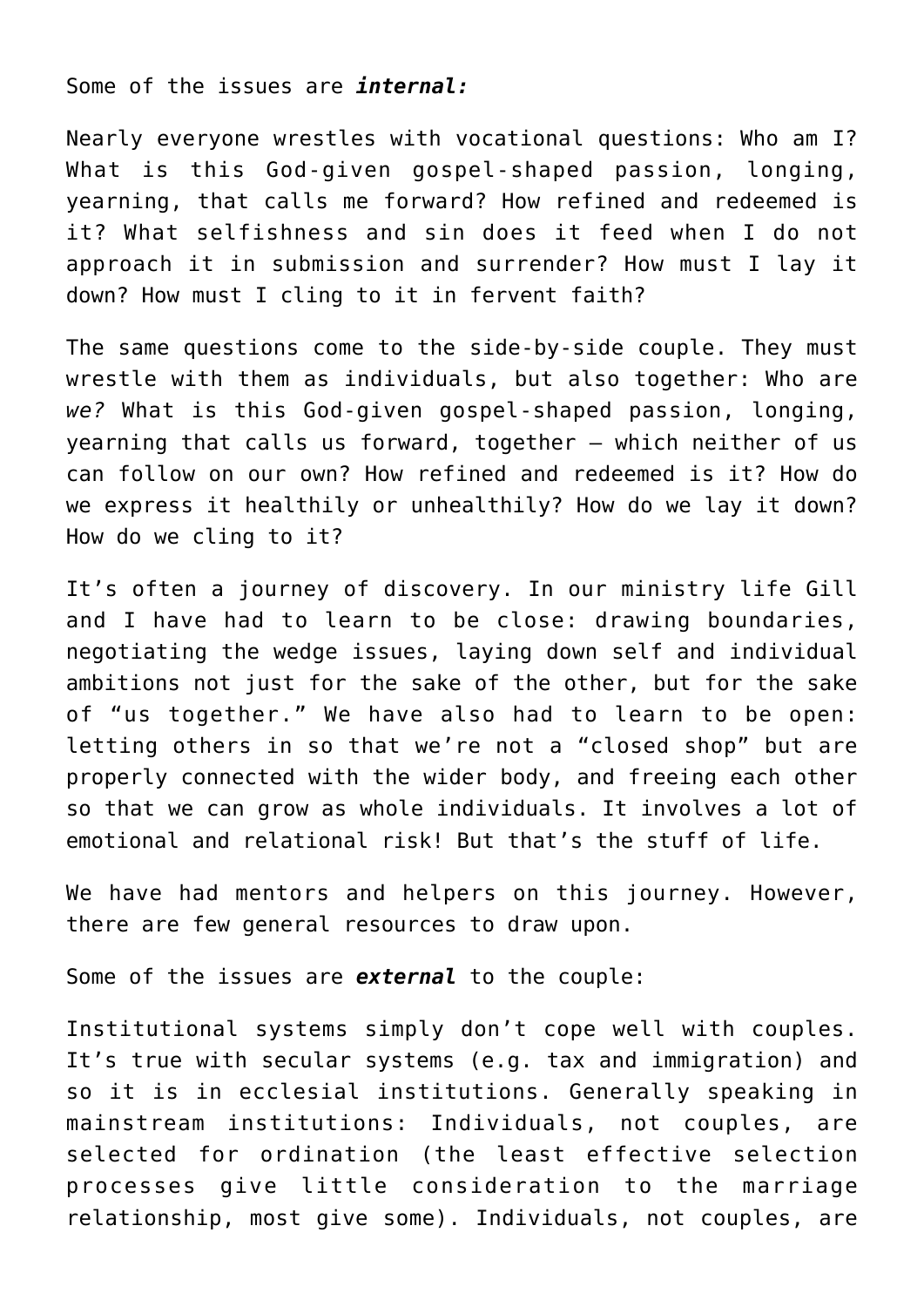Some of the issues are *internal:*

Nearly everyone wrestles with vocational questions: Who am I? What is this God-given gospel-shaped passion, longing, yearning, that calls me forward? How refined and redeemed is it? What selfishness and sin does it feed when I do not approach it in submission and surrender? How must I lay it down? How must I cling to it in fervent faith?

The same questions come to the side-by-side couple. They must wrestle with them as individuals, but also together: Who are *we?* What is this God-given gospel-shaped passion, longing, yearning that calls us forward, together – which neither of us can follow on our own? How refined and redeemed is it? How do we express it healthily or unhealthily? How do we lay it down? How do we cling to it?

It's often a journey of discovery. In our ministry life Gill and I have had to learn to be close: drawing boundaries, negotiating the wedge issues, laying down self and individual ambitions not just for the sake of the other, but for the sake of "us together." We have also had to learn to be open: letting others in so that we're not a "closed shop" but are properly connected with the wider body, and freeing each other so that we can grow as whole individuals. It involves a lot of emotional and relational risk! But that's the stuff of life.

We have had mentors and helpers on this journey. However, there are few general resources to draw upon.

Some of the issues are *external* to the couple:

Institutional systems simply don't cope well with couples. It's true with secular systems (e.g. tax and immigration) and so it is in ecclesial institutions. Generally speaking in mainstream institutions: Individuals, not couples, are selected for ordination (the least effective selection processes give little consideration to the marriage relationship, most give some). Individuals, not couples, are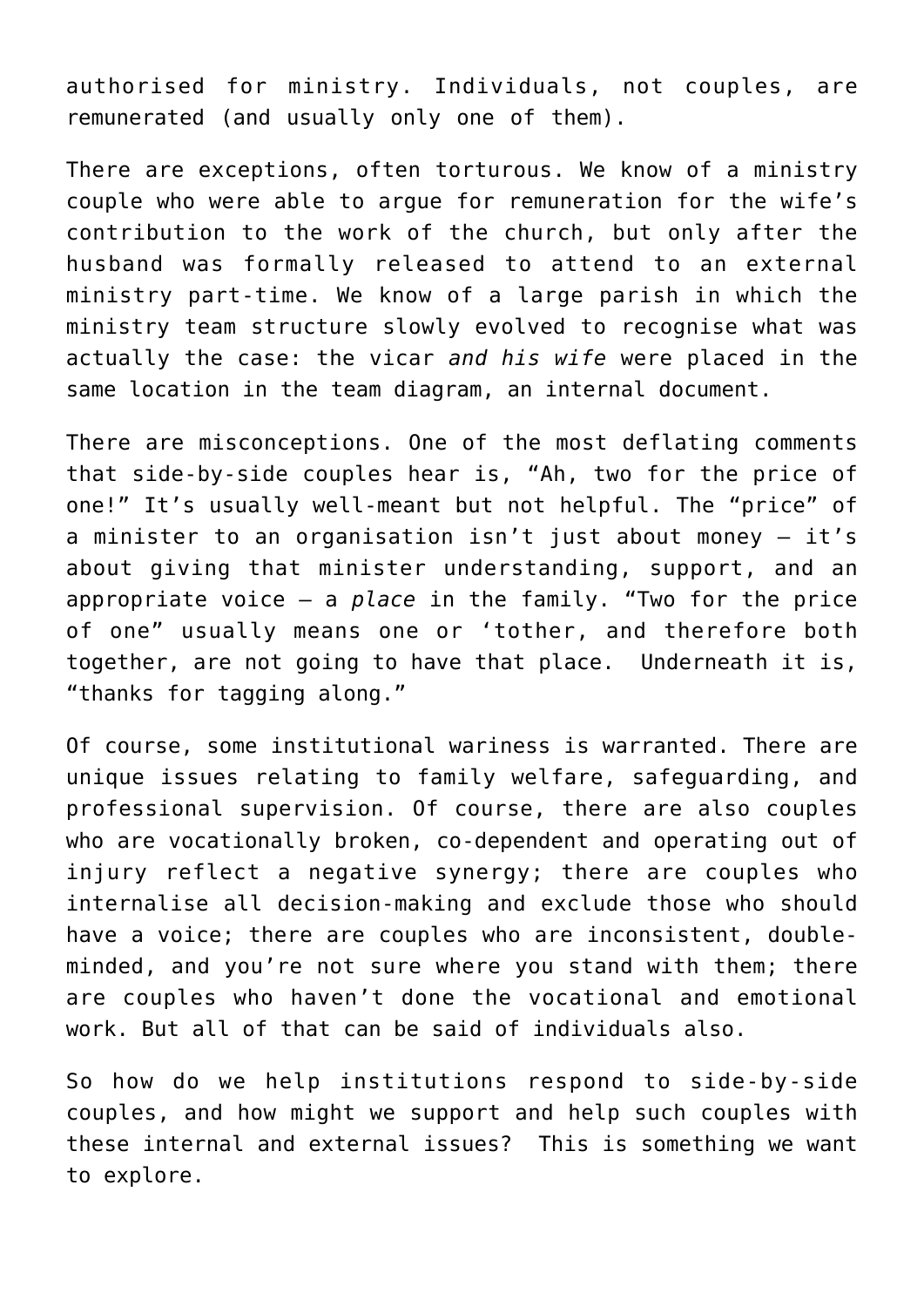authorised for ministry. Individuals, not couples, are remunerated (and usually only one of them).

There are exceptions, often torturous. We know of a ministry couple who were able to argue for remuneration for the wife's contribution to the work of the church, but only after the husband was formally released to attend to an external ministry part-time. We know of a large parish in which the ministry team structure slowly evolved to recognise what was actually the case: the vicar *and his wife* were placed in the same location in the team diagram, an internal document.

There are misconceptions. One of the most deflating comments that side-by-side couples hear is, "Ah, two for the price of one!" It's usually well-meant but not helpful. The "price" of a minister to an organisation isn't just about money – it's about giving that minister understanding, support, and an appropriate voice – a *place* in the family. "Two for the price of one" usually means one or 'tother, and therefore both together, are not going to have that place. Underneath it is, "thanks for tagging along."

Of course, some institutional wariness is warranted. There are unique issues relating to family welfare, safeguarding, and professional supervision. Of course, there are also couples who are vocationally broken, co-dependent and operating out of injury reflect a negative synergy; there are couples who internalise all decision-making and exclude those who should have a voice; there are couples who are inconsistent, doubleminded, and you're not sure where you stand with them; there are couples who haven't done the vocational and emotional work. But all of that can be said of individuals also.

So how do we help institutions respond to side-by-side couples, and how might we support and help such couples with these internal and external issues? This is something we want to explore.